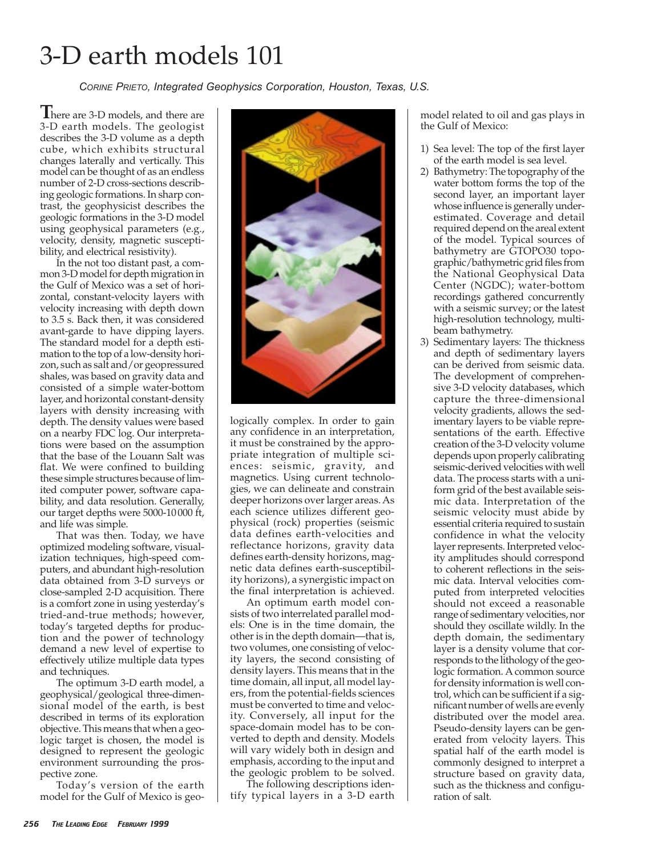## 3-D earth models 101

*CORINE PRIETO, Integrated Geophysics Corporation, Houston, Texas, U.S.*

**There are 3-D models, and there are** 3-D earth models. The geologist describes the 3-D volume as a depth cube, which exhibits structural changes laterally and vertically. This model can be thought of as an endless number of 2-D cross-sections describing geologic formations. In sharp contrast, the geophysicist describes the geologic formations in the 3-D model using geophysical parameters (e.g., velocity, density, magnetic susceptibility, and electrical resistivity).

In the not too distant past, a common 3-D model for depth migration in the Gulf of Mexico was a set of horizontal, constant-velocity layers with velocity increasing with depth down to 3.5 s. Back then, it was considered avant-garde to have dipping layers. The standard model for a depth estimation to the top of a low-density horizon, such as salt and/or geopressured shales, was based on gravity data and consisted of a simple water-bottom layer, and horizontal constant-density layers with density increasing with depth. The density values were based on a nearby FDC log. Our interpretations were based on the assumption that the base of the Louann Salt was flat. We were confined to building these simple structures because of limited computer power, software capability, and data resolution. Generally, our target depths were 5000-10000 ft, and life was simple.

That was then. Today, we have optimized modeling software, visualization techniques, high-speed computers, and abundant high-resolution data obtained from 3-D surveys or close-sampled 2-D acquisition. There is a comfort zone in using yesterday's tried-and-true methods; however, today's targeted depths for production and the power of technology demand a new level of expertise to effectively utilize multiple data types and techniques.

The optimum 3-D earth model, a geophysical/geological three-dimensional model of the earth, is best described in terms of its exploration objective. This means that when a geologic target is chosen, the model is designed to represent the geologic environment surrounding the prospective zone.

Today's version of the earth model for the Gulf of Mexico is geo-



logically complex. In order to gain any confidence in an interpretation, it must be constrained by the appropriate integration of multiple sciences: seismic, gravity, and magnetics. Using current technologies, we can delineate and constrain deeper horizons over larger areas. As each science utilizes different geophysical (rock) properties (seismic data defines earth-velocities and reflectance horizons, gravity data defines earth-density horizons, magnetic data defines earth-susceptibility horizons), a synergistic impact on the final interpretation is achieved.

An optimum earth model consists of two interrelated parallel models: One is in the time domain, the other is in the depth domain—that is, two volumes, one consisting of velocity layers, the second consisting of density layers. This means that in the time domain, all input, all model layers, from the potential-fields sciences must be converted to time and velocity. Conversely, all input for the space-domain model has to be converted to depth and density. Models will vary widely both in design and emphasis, according to the input and the geologic problem to be solved.

The following descriptions identify typical layers in a 3-D earth model related to oil and gas plays in the Gulf of Mexico:

- 1) Sea level: The top of the first layer of the earth model is sea level.
- 2) Bathymetry: The topography of the water bottom forms the top of the second layer, an important layer whose influence is generally underestimated. Coverage and detail required depend on the areal extent of the model. Typical sources of bathymetry are GTOPO30 topographic/bathymetric grid files from the National Geophysical Data Center (NGDC); water-bottom recordings gathered concurrently with a seismic survey; or the latest high-resolution technology, multibeam bathymetry.
- 3) Sedimentary layers: The thickness and depth of sedimentary layers can be derived from seismic data. The development of comprehensive 3-D velocity databases, which capture the three-dimensional velocity gradients, allows the sedimentary layers to be viable representations of the earth. Effective creation of the 3-D velocity volume depends upon properly calibrating seismic-derived velocities with well data. The process starts with a uniform grid of the best available seismic data. Interpretation of the seismic velocity must abide by essential criteria required to sustain confidence in what the velocity layer represents. Interpreted velocity amplitudes should correspond to coherent reflections in the seismic data. Interval velocities computed from interpreted velocities should not exceed a reasonable range of sedimentary velocities, nor should they oscillate wildly. In the depth domain, the sedimentary layer is a density volume that corresponds to the lithology of the geologic formation. A common source for density information is well control, which can be sufficient if a significant number of wells are evenly distributed over the model area. Pseudo-density layers can be generated from velocity layers. This spatial half of the earth model is commonly designed to interpret a structure based on gravity data, such as the thickness and configuration of salt.